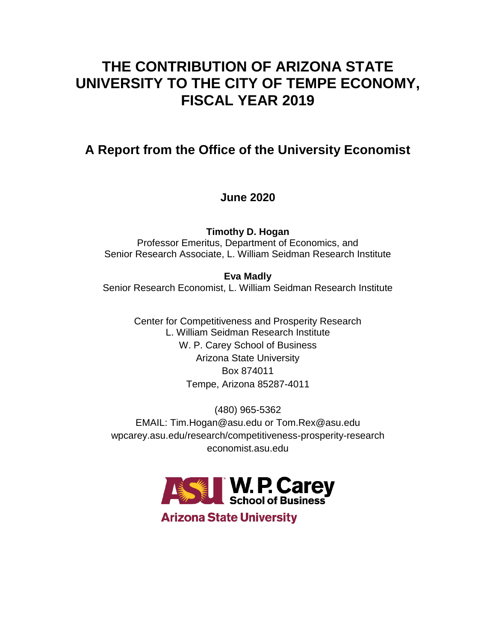# **THE CONTRIBUTION OF ARIZONA STATE UNIVERSITY TO THE CITY OF TEMPE ECONOMY, FISCAL YEAR 2019**

## **A Report from the Office of the University Economist**

## **June 2020**

**Timothy D. Hogan** Professor Emeritus, Department of Economics, and Senior Research Associate, L. William Seidman Research Institute

**Eva Madly** Senior Research Economist, L. William Seidman Research Institute

> Center for Competitiveness and Prosperity Research L. William Seidman Research Institute W. P. Carey School of Business Arizona State University Box 874011 Tempe, Arizona 85287-4011

(480) 965-5362 EMAIL: Tim.Hogan@asu.edu or Tom.Rex@asu.edu wpcarey.asu.edu/research/competitiveness-prosperity-research economist.asu.edu



**Arizona State University**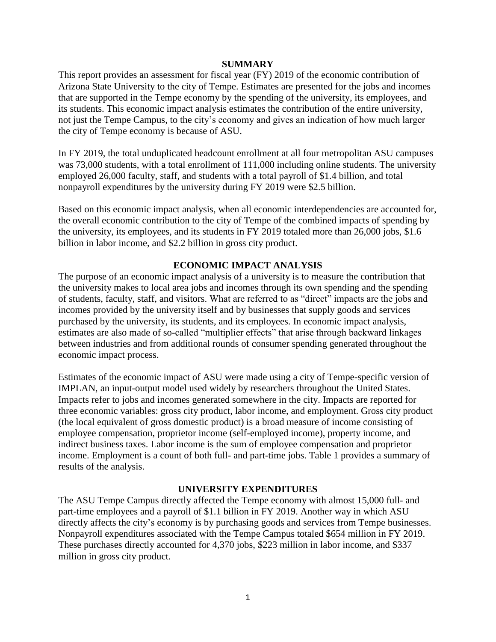## **SUMMARY**

This report provides an assessment for fiscal year (FY) 2019 of the economic contribution of Arizona State University to the city of Tempe. Estimates are presented for the jobs and incomes that are supported in the Tempe economy by the spending of the university, its employees, and its students. This economic impact analysis estimates the contribution of the entire university, not just the Tempe Campus, to the city's economy and gives an indication of how much larger the city of Tempe economy is because of ASU.

In FY 2019, the total unduplicated headcount enrollment at all four metropolitan ASU campuses was 73,000 students, with a total enrollment of 111,000 including online students. The university employed 26,000 faculty, staff, and students with a total payroll of \$1.4 billion, and total nonpayroll expenditures by the university during FY 2019 were \$2.5 billion.

Based on this economic impact analysis, when all economic interdependencies are accounted for, the overall economic contribution to the city of Tempe of the combined impacts of spending by the university, its employees, and its students in FY 2019 totaled more than 26,000 jobs, \$1.6 billion in labor income, and \$2.2 billion in gross city product.

## **ECONOMIC IMPACT ANALYSIS**

The purpose of an economic impact analysis of a university is to measure the contribution that the university makes to local area jobs and incomes through its own spending and the spending of students, faculty, staff, and visitors. What are referred to as "direct" impacts are the jobs and incomes provided by the university itself and by businesses that supply goods and services purchased by the university, its students, and its employees. In economic impact analysis, estimates are also made of so-called "multiplier effects" that arise through backward linkages between industries and from additional rounds of consumer spending generated throughout the economic impact process.

Estimates of the economic impact of ASU were made using a city of Tempe-specific version of IMPLAN, an input-output model used widely by researchers throughout the United States. Impacts refer to jobs and incomes generated somewhere in the city. Impacts are reported for three economic variables: gross city product, labor income, and employment. Gross city product (the local equivalent of gross domestic product) is a broad measure of income consisting of employee compensation, proprietor income (self-employed income), property income, and indirect business taxes. Labor income is the sum of employee compensation and proprietor income. Employment is a count of both full- and part-time jobs. Table 1 provides a summary of results of the analysis.

### **UNIVERSITY EXPENDITURES**

The ASU Tempe Campus directly affected the Tempe economy with almost 15,000 full- and part-time employees and a payroll of \$1.1 billion in FY 2019. Another way in which ASU directly affects the city's economy is by purchasing goods and services from Tempe businesses. Nonpayroll expenditures associated with the Tempe Campus totaled \$654 million in FY 2019. These purchases directly accounted for 4,370 jobs, \$223 million in labor income, and \$337 million in gross city product.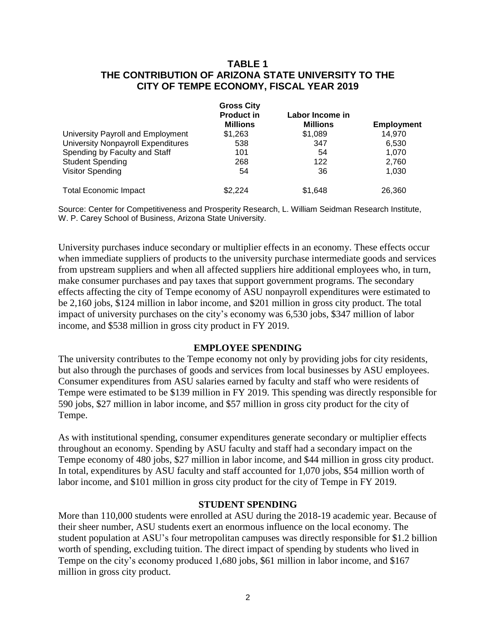## **TABLE 1 THE CONTRIBUTION OF ARIZONA STATE UNIVERSITY TO THE CITY OF TEMPE ECONOMY, FISCAL YEAR 2019**

|                                           | <b>Gross City</b> |                 |                   |
|-------------------------------------------|-------------------|-----------------|-------------------|
|                                           | <b>Product in</b> | Labor Income in |                   |
|                                           | <b>Millions</b>   | <b>Millions</b> | <b>Employment</b> |
| University Payroll and Employment         | \$1,263           | \$1,089         | 14.970            |
| <b>University Nonpayroll Expenditures</b> | 538               | 347             | 6,530             |
| Spending by Faculty and Staff             | 101               | 54              | 1.070             |
| <b>Student Spending</b>                   | 268               | 122             | 2,760             |
| Visitor Spending                          | 54                | 36              | 1.030             |
| <b>Total Economic Impact</b>              | \$2,224           | \$1,648         | 26.360            |

Source: Center for Competitiveness and Prosperity Research, L. William Seidman Research Institute, W. P. Carey School of Business, Arizona State University.

University purchases induce secondary or multiplier effects in an economy. These effects occur when immediate suppliers of products to the university purchase intermediate goods and services from upstream suppliers and when all affected suppliers hire additional employees who, in turn, make consumer purchases and pay taxes that support government programs. The secondary effects affecting the city of Tempe economy of ASU nonpayroll expenditures were estimated to be 2,160 jobs, \$124 million in labor income, and \$201 million in gross city product. The total impact of university purchases on the city's economy was 6,530 jobs, \$347 million of labor income, and \$538 million in gross city product in FY 2019.

## **EMPLOYEE SPENDING**

The university contributes to the Tempe economy not only by providing jobs for city residents, but also through the purchases of goods and services from local businesses by ASU employees. Consumer expenditures from ASU salaries earned by faculty and staff who were residents of Tempe were estimated to be \$139 million in FY 2019. This spending was directly responsible for 590 jobs, \$27 million in labor income, and \$57 million in gross city product for the city of Tempe.

As with institutional spending, consumer expenditures generate secondary or multiplier effects throughout an economy. Spending by ASU faculty and staff had a secondary impact on the Tempe economy of 480 jobs, \$27 million in labor income, and \$44 million in gross city product. In total, expenditures by ASU faculty and staff accounted for 1,070 jobs, \$54 million worth of labor income, and \$101 million in gross city product for the city of Tempe in FY 2019.

### **STUDENT SPENDING**

More than 110,000 students were enrolled at ASU during the 2018-19 academic year. Because of their sheer number, ASU students exert an enormous influence on the local economy. The student population at ASU's four metropolitan campuses was directly responsible for \$1.2 billion worth of spending, excluding tuition. The direct impact of spending by students who lived in Tempe on the city's economy produced 1,680 jobs, \$61 million in labor income, and \$167 million in gross city product.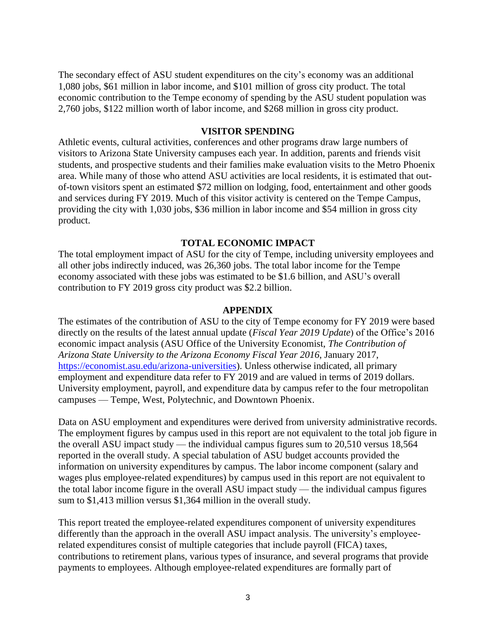The secondary effect of ASU student expenditures on the city's economy was an additional 1,080 jobs, \$61 million in labor income, and \$101 million of gross city product. The total economic contribution to the Tempe economy of spending by the ASU student population was 2,760 jobs, \$122 million worth of labor income, and \$268 million in gross city product.

#### **VISITOR SPENDING**

Athletic events, cultural activities, conferences and other programs draw large numbers of visitors to Arizona State University campuses each year. In addition, parents and friends visit students, and prospective students and their families make evaluation visits to the Metro Phoenix area. While many of those who attend ASU activities are local residents, it is estimated that outof-town visitors spent an estimated \$72 million on lodging, food, entertainment and other goods and services during FY 2019. Much of this visitor activity is centered on the Tempe Campus, providing the city with 1,030 jobs, \$36 million in labor income and \$54 million in gross city product.

### **TOTAL ECONOMIC IMPACT**

The total employment impact of ASU for the city of Tempe, including university employees and all other jobs indirectly induced, was 26,360 jobs. The total labor income for the Tempe economy associated with these jobs was estimated to be \$1.6 billion, and ASU's overall contribution to FY 2019 gross city product was \$2.2 billion.

### **APPENDIX**

The estimates of the contribution of ASU to the city of Tempe economy for FY 2019 were based directly on the results of the latest annual update (*Fiscal Year 2019 Update*) of the Office's 2016 economic impact analysis (ASU Office of the University Economist, *The Contribution of Arizona State University to the Arizona Economy Fiscal Year 2016*, January 2017, [https://economist.asu.edu/arizona-universities\)](https://economist.asu.edu/arizona-universities). Unless otherwise indicated, all primary employment and expenditure data refer to FY 2019 and are valued in terms of 2019 dollars. University employment, payroll, and expenditure data by campus refer to the four metropolitan campuses — Tempe, West, Polytechnic, and Downtown Phoenix.

Data on ASU employment and expenditures were derived from university administrative records. The employment figures by campus used in this report are not equivalent to the total job figure in the overall ASU impact study — the individual campus figures sum to 20,510 versus 18,564 reported in the overall study. A special tabulation of ASU budget accounts provided the information on university expenditures by campus. The labor income component (salary and wages plus employee-related expenditures) by campus used in this report are not equivalent to the total labor income figure in the overall ASU impact study — the individual campus figures sum to \$1,413 million versus \$1,364 million in the overall study.

This report treated the employee-related expenditures component of university expenditures differently than the approach in the overall ASU impact analysis. The university's employeerelated expenditures consist of multiple categories that include payroll (FICA) taxes, contributions to retirement plans, various types of insurance, and several programs that provide payments to employees. Although employee-related expenditures are formally part of